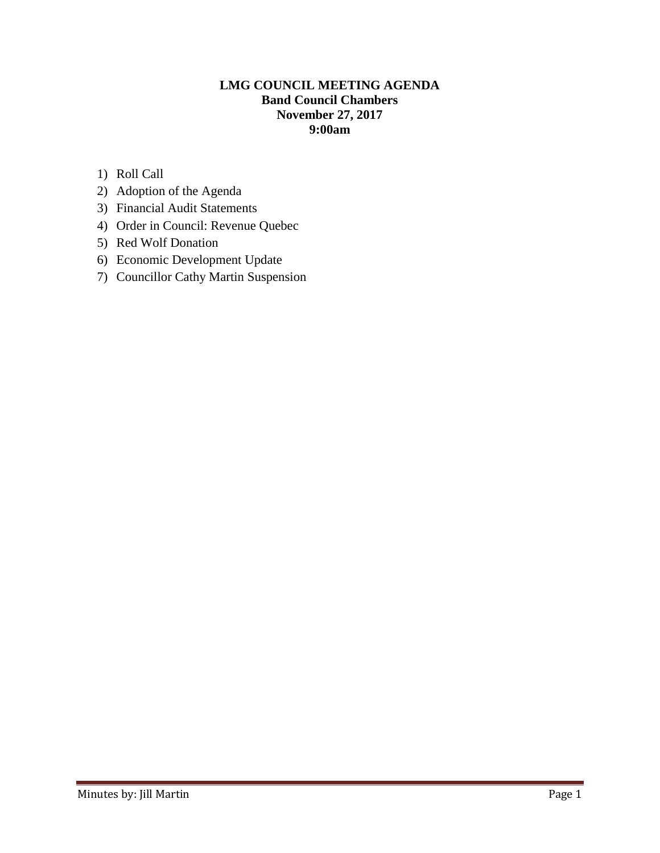### **LMG COUNCIL MEETING AGENDA Band Council Chambers November 27, 2017 9:00am**

- 1) Roll Call
- 2) Adoption of the Agenda
- 3) Financial Audit Statements
- 4) Order in Council: Revenue Quebec
- 5) Red Wolf Donation
- 6) Economic Development Update
- 7) Councillor Cathy Martin Suspension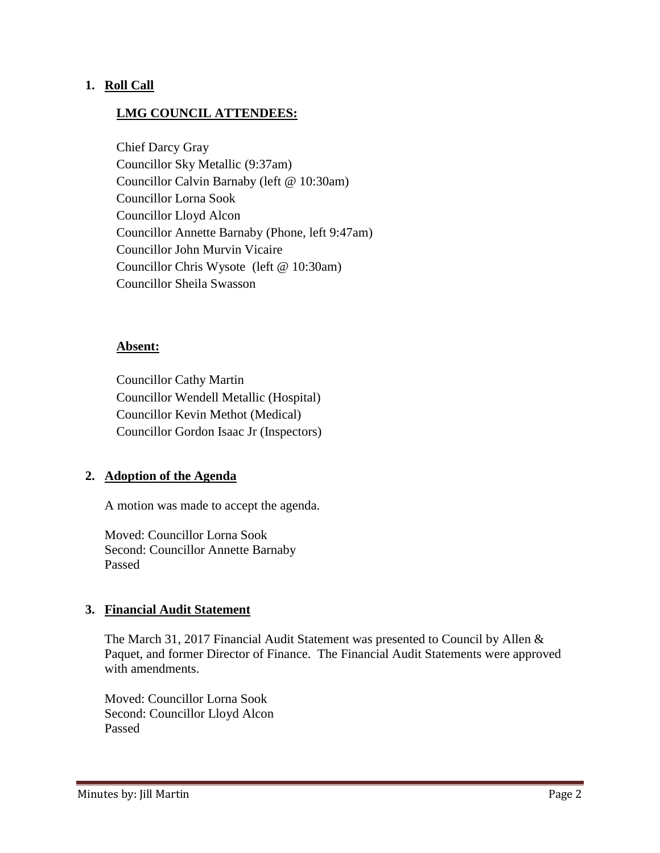### **1. Roll Call**

### **LMG COUNCIL ATTENDEES:**

Chief Darcy Gray Councillor Sky Metallic (9:37am) Councillor Calvin Barnaby (left @ 10:30am) Councillor Lorna Sook Councillor Lloyd Alcon Councillor Annette Barnaby (Phone, left 9:47am) Councillor John Murvin Vicaire Councillor Chris Wysote (left @ 10:30am) Councillor Sheila Swasson

#### **Absent:**

Councillor Cathy Martin Councillor Wendell Metallic (Hospital) Councillor Kevin Methot (Medical) Councillor Gordon Isaac Jr (Inspectors)

### **2. Adoption of the Agenda**

A motion was made to accept the agenda.

Moved: Councillor Lorna Sook Second: Councillor Annette Barnaby Passed

### **3. Financial Audit Statement**

The March 31, 2017 Financial Audit Statement was presented to Council by Allen & Paquet, and former Director of Finance. The Financial Audit Statements were approved with amendments.

Moved: Councillor Lorna Sook Second: Councillor Lloyd Alcon Passed